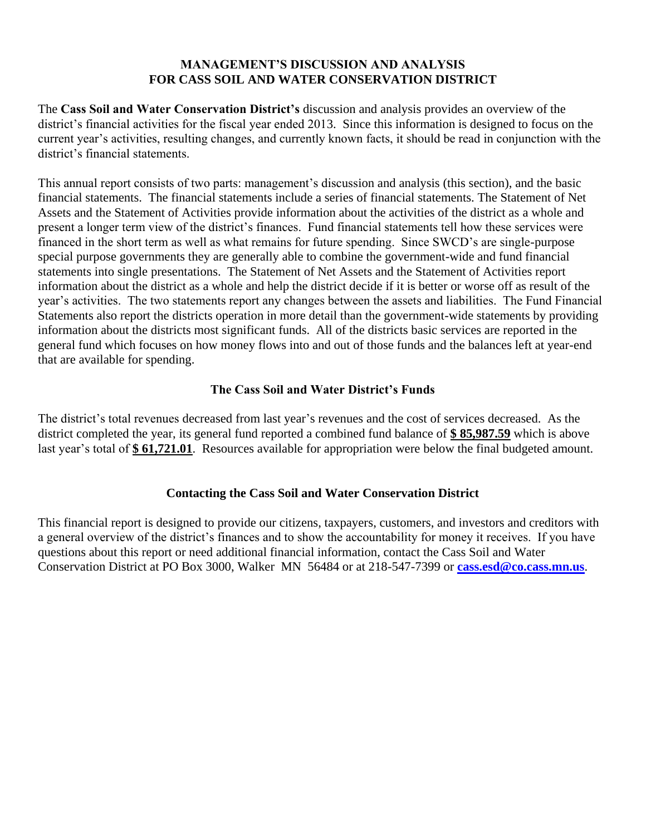### **MANAGEMENT'S DISCUSSION AND ANALYSIS FOR CASS SOIL AND WATER CONSERVATION DISTRICT**

The **Cass Soil and Water Conservation District's** discussion and analysis provides an overview of the district's financial activities for the fiscal year ended 2013. Since this information is designed to focus on the current year's activities, resulting changes, and currently known facts, it should be read in conjunction with the district's financial statements.

This annual report consists of two parts: management's discussion and analysis (this section), and the basic financial statements. The financial statements include a series of financial statements. The Statement of Net Assets and the Statement of Activities provide information about the activities of the district as a whole and present a longer term view of the district's finances. Fund financial statements tell how these services were financed in the short term as well as what remains for future spending. Since SWCD's are single-purpose special purpose governments they are generally able to combine the government-wide and fund financial statements into single presentations. The Statement of Net Assets and the Statement of Activities report information about the district as a whole and help the district decide if it is better or worse off as result of the year's activities. The two statements report any changes between the assets and liabilities. The Fund Financial Statements also report the districts operation in more detail than the government-wide statements by providing information about the districts most significant funds. All of the districts basic services are reported in the general fund which focuses on how money flows into and out of those funds and the balances left at year-end that are available for spending.

### **The Cass Soil and Water District's Funds**

The district's total revenues decreased from last year's revenues and the cost of services decreased. As the district completed the year, its general fund reported a combined fund balance of **\$ 85,987.59** which is above last year's total of **\$ 61,721.01**. Resources available for appropriation were below the final budgeted amount.

### **Contacting the Cass Soil and Water Conservation District**

This financial report is designed to provide our citizens, taxpayers, customers, and investors and creditors with a general overview of the district's finances and to show the accountability for money it receives. If you have questions about this report or need additional financial information, contact the Cass Soil and Water Conservation District at PO Box 3000, Walker MN 56484 or at 218-547-7399 or **[cass.esd@co.cass.mn.us](mailto:cass.esd@co.cass.mn.us)**.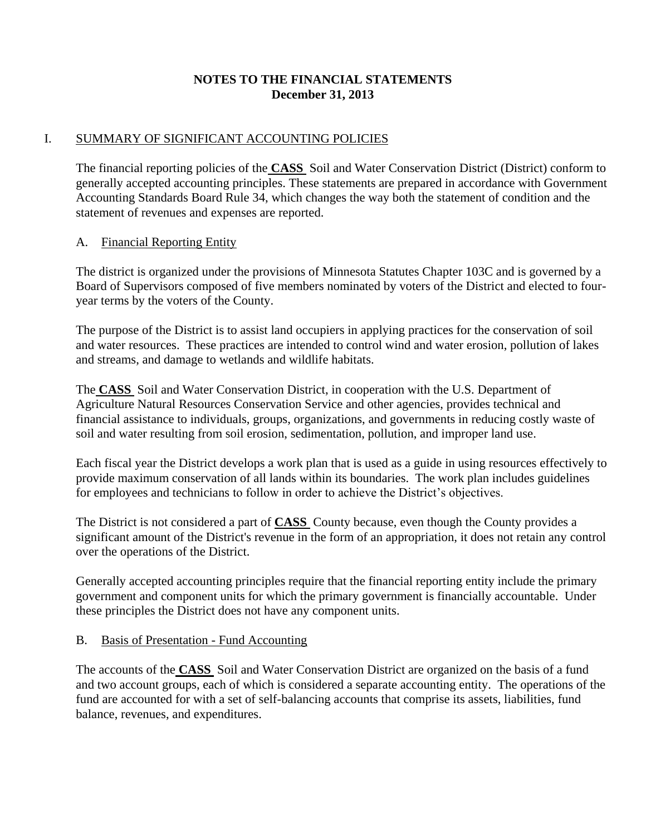## **NOTES TO THE FINANCIAL STATEMENTS December 31, 2013**

### I. SUMMARY OF SIGNIFICANT ACCOUNTING POLICIES

The financial reporting policies of the **CASS** Soil and Water Conservation District (District) conform to generally accepted accounting principles. These statements are prepared in accordance with Government Accounting Standards Board Rule 34, which changes the way both the statement of condition and the statement of revenues and expenses are reported.

### A. Financial Reporting Entity

The district is organized under the provisions of Minnesota Statutes Chapter 103C and is governed by a Board of Supervisors composed of five members nominated by voters of the District and elected to fouryear terms by the voters of the County.

The purpose of the District is to assist land occupiers in applying practices for the conservation of soil and water resources. These practices are intended to control wind and water erosion, pollution of lakes and streams, and damage to wetlands and wildlife habitats.

The **CASS** Soil and Water Conservation District, in cooperation with the U.S. Department of Agriculture Natural Resources Conservation Service and other agencies, provides technical and financial assistance to individuals, groups, organizations, and governments in reducing costly waste of soil and water resulting from soil erosion, sedimentation, pollution, and improper land use.

Each fiscal year the District develops a work plan that is used as a guide in using resources effectively to provide maximum conservation of all lands within its boundaries. The work plan includes guidelines for employees and technicians to follow in order to achieve the District's objectives.

The District is not considered a part of **CASS** County because, even though the County provides a significant amount of the District's revenue in the form of an appropriation, it does not retain any control over the operations of the District.

Generally accepted accounting principles require that the financial reporting entity include the primary government and component units for which the primary government is financially accountable. Under these principles the District does not have any component units.

#### B. Basis of Presentation - Fund Accounting

The accounts of the **CASS** Soil and Water Conservation District are organized on the basis of a fund and two account groups, each of which is considered a separate accounting entity. The operations of the fund are accounted for with a set of self-balancing accounts that comprise its assets, liabilities, fund balance, revenues, and expenditures.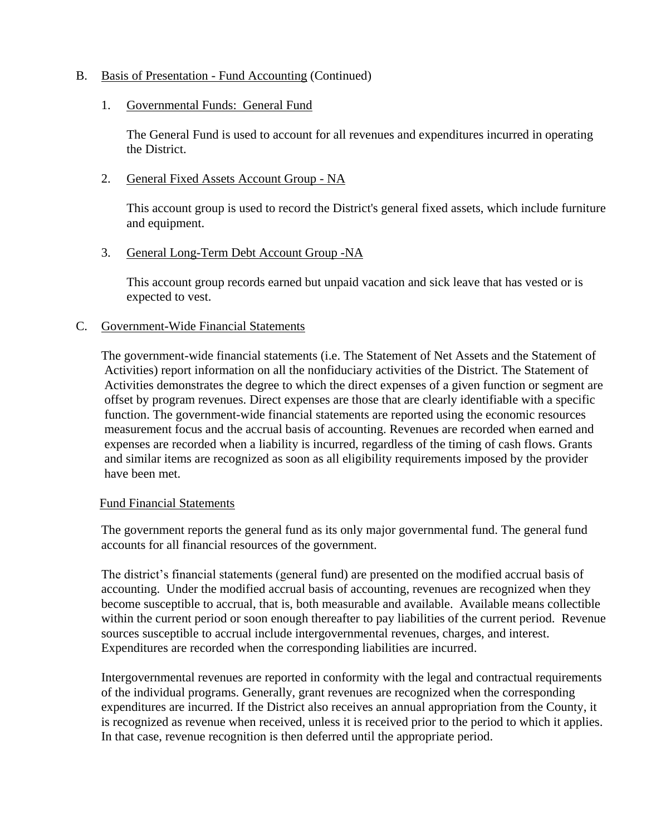### B. Basis of Presentation - Fund Accounting (Continued)

#### 1. Governmental Funds: General Fund

The General Fund is used to account for all revenues and expenditures incurred in operating the District.

#### 2. General Fixed Assets Account Group - NA

This account group is used to record the District's general fixed assets, which include furniture and equipment.

#### 3. General Long-Term Debt Account Group - NA

This account group records earned but unpaid vacation and sick leave that has vested or is expected to vest.

#### C. Government-Wide Financial Statements

The government-wide financial statements (i.e. The Statement of Net Assets and the Statement of Activities) report information on all the nonfiduciary activities of the District. The Statement of Activities demonstrates the degree to which the direct expenses of a given function or segment are offset by program revenues. Direct expenses are those that are clearly identifiable with a specific function. The government-wide financial statements are reported using the economic resources measurement focus and the accrual basis of accounting. Revenues are recorded when earned and expenses are recorded when a liability is incurred, regardless of the timing of cash flows. Grants and similar items are recognized as soon as all eligibility requirements imposed by the provider have been met.

#### Fund Financial Statements

The government reports the general fund as its only major governmental fund. The general fund accounts for all financial resources of the government.

The district's financial statements (general fund) are presented on the modified accrual basis of accounting. Under the modified accrual basis of accounting, revenues are recognized when they become susceptible to accrual, that is, both measurable and available. Available means collectible within the current period or soon enough thereafter to pay liabilities of the current period. Revenue sources susceptible to accrual include intergovernmental revenues, charges, and interest. Expenditures are recorded when the corresponding liabilities are incurred.

Intergovernmental revenues are reported in conformity with the legal and contractual requirements of the individual programs. Generally, grant revenues are recognized when the corresponding expenditures are incurred. If the District also receives an annual appropriation from the County, it is recognized as revenue when received, unless it is received prior to the period to which it applies. In that case, revenue recognition is then deferred until the appropriate period.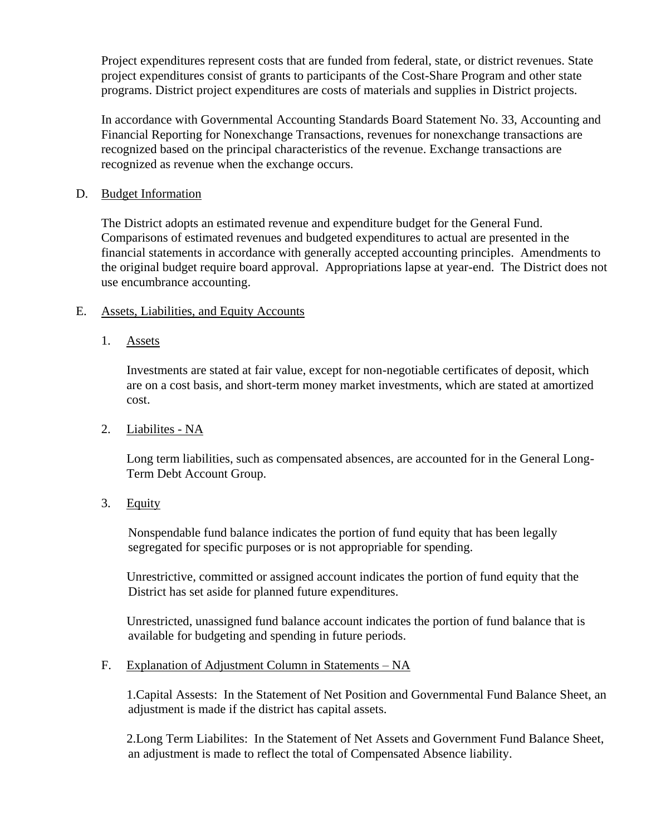Project expenditures represent costs that are funded from federal, state, or district revenues. State project expenditures consist of grants to participants of the Cost-Share Program and other state programs. District project expenditures are costs of materials and supplies in District projects.

In accordance with Governmental Accounting Standards Board Statement No. 33, Accounting and Financial Reporting for Nonexchange Transactions, revenues for nonexchange transactions are recognized based on the principal characteristics of the revenue. Exchange transactions are recognized as revenue when the exchange occurs.

#### D. Budget Information

The District adopts an estimated revenue and expenditure budget for the General Fund. Comparisons of estimated revenues and budgeted expenditures to actual are presented in the financial statements in accordance with generally accepted accounting principles. Amendments to the original budget require board approval. Appropriations lapse at year-end. The District does not use encumbrance accounting.

### E. Assets, Liabilities, and Equity Accounts

1. Assets

Investments are stated at fair value, except for non-negotiable certificates of deposit, which are on a cost basis, and short-term money market investments, which are stated at amortized cost.

2. Liabilites - NA

Long term liabilities, such as compensated absences, are accounted for in the General Long-Term Debt Account Group.

3. Equity

Nonspendable fund balance indicates the portion of fund equity that has been legally segregated for specific purposes or is not appropriable for spending.

Unrestrictive, committed or assigned account indicates the portion of fund equity that the District has set aside for planned future expenditures.

Unrestricted, unassigned fund balance account indicates the portion of fund balance that is available for budgeting and spending in future periods.

#### F. Explanation of Adjustment Column in Statements – NA

1.Capital Assests: In the Statement of Net Position and Governmental Fund Balance Sheet, an adjustment is made if the district has capital assets.

2.Long Term Liabilites: In the Statement of Net Assets and Government Fund Balance Sheet, an adjustment is made to reflect the total of Compensated Absence liability.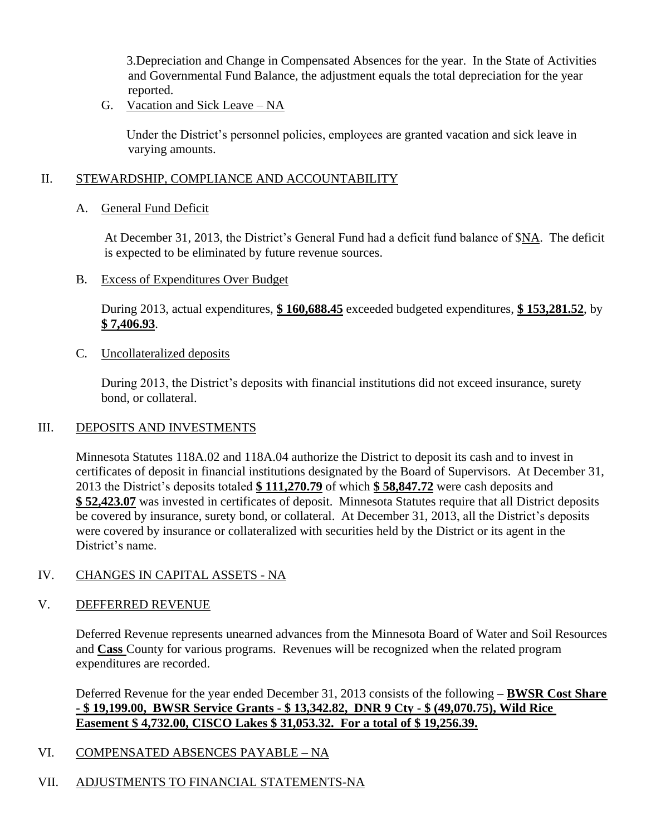3.Depreciation and Change in Compensated Absences for the year. In the State of Activities and Governmental Fund Balance, the adjustment equals the total depreciation for the year reported.

G. Vacation and Sick Leave – NA

Under the District's personnel policies, employees are granted vacation and sick leave in varying amounts.

### II. STEWARDSHIP, COMPLIANCE AND ACCOUNTABILITY

A. General Fund Deficit

At December 31, 2013, the District's General Fund had a deficit fund balance of \$NA. The deficit is expected to be eliminated by future revenue sources.

B. Excess of Expenditures Over Budget

During 2013, actual expenditures, **\$ 160,688.45** exceeded budgeted expenditures, **\$ 153,281.52**, by **\$ 7,406.93**.

C. Uncollateralized deposits

During 2013, the District's deposits with financial institutions did not exceed insurance, surety bond, or collateral.

### III. DEPOSITS AND INVESTMENTS

Minnesota Statutes 118A.02 and 118A.04 authorize the District to deposit its cash and to invest in certificates of deposit in financial institutions designated by the Board of Supervisors. At December 31, 2013 the District's deposits totaled **\$ 111,270.79** of which **\$ 58,847.72** were cash deposits and **\$ 52,423.07** was invested in certificates of deposit. Minnesota Statutes require that all District deposits be covered by insurance, surety bond, or collateral. At December 31, 2013, all the District's deposits were covered by insurance or collateralized with securities held by the District or its agent in the District's name.

# IV. CHANGES IN CAPITAL ASSETS - NA

### V. DEFFERRED REVENUE

Deferred Revenue represents unearned advances from the Minnesota Board of Water and Soil Resources and **Cass** County for various programs. Revenues will be recognized when the related program expenditures are recorded.

Deferred Revenue for the year ended December 31, 2013 consists of the following – **BWSR Cost Share - \$ 19,199.00, BWSR Service Grants - \$ 13,342.82, DNR 9 Cty - \$ (49,070.75), Wild Rice Easement \$ 4,732.00, CISCO Lakes \$ 31,053.32. For a total of \$ 19,256.39.**

# VI. COMPENSATED ABSENCES PAYABLE – NA

# VII. ADJUSTMENTS TO FINANCIAL STATEMENTS-NA